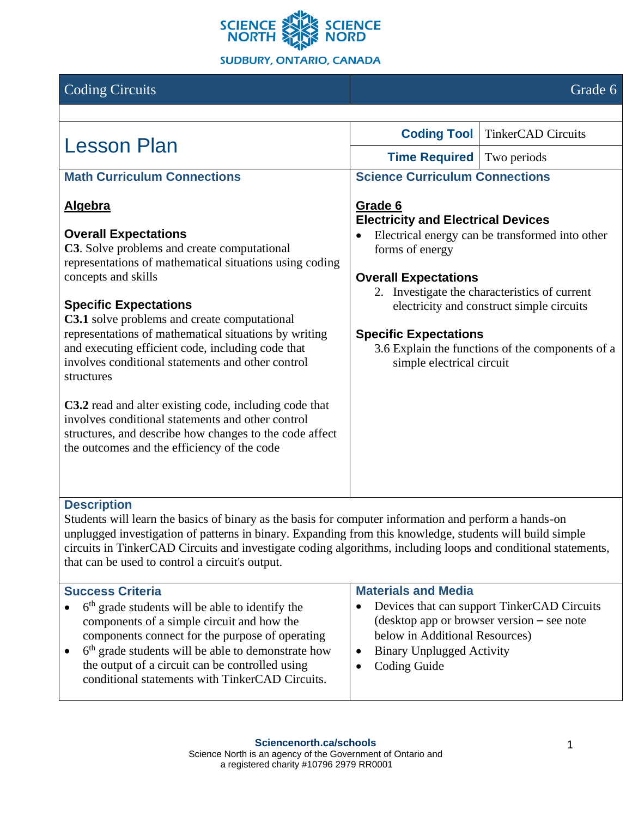

|                                                                                                             | Grade 6                                                                                                                                                                                           |
|-------------------------------------------------------------------------------------------------------------|---------------------------------------------------------------------------------------------------------------------------------------------------------------------------------------------------|
|                                                                                                             |                                                                                                                                                                                                   |
| <b>Coding Tool</b>                                                                                          | <b>TinkerCAD Circuits</b>                                                                                                                                                                         |
| <b>Time Required</b>                                                                                        | Two periods                                                                                                                                                                                       |
| <b>Science Curriculum Connections</b>                                                                       |                                                                                                                                                                                                   |
| Grade 6<br><b>Electricity and Electrical Devices</b>                                                        |                                                                                                                                                                                                   |
| forms of energy<br><b>Overall Expectations</b><br><b>Specific Expectations</b><br>simple electrical circuit | Electrical energy can be transformed into other<br>2. Investigate the characteristics of current<br>electricity and construct simple circuits<br>3.6 Explain the functions of the components of a |
|                                                                                                             |                                                                                                                                                                                                   |

## **Description**

Students will learn the basics of binary as the basis for computer information and perform a hands-on unplugged investigation of patterns in binary. Expanding from this knowledge, students will build simple circuits in TinkerCAD Circuits and investigate coding algorithms, including loops and conditional statements, that can be used to control a circuit's output.

| <b>Success Criteria</b> |                                                                                                                                                                                                                                                                                                                                      | <b>Materials and Media</b>                                                                                                                                                    |  |
|-------------------------|--------------------------------------------------------------------------------------------------------------------------------------------------------------------------------------------------------------------------------------------------------------------------------------------------------------------------------------|-------------------------------------------------------------------------------------------------------------------------------------------------------------------------------|--|
|                         | $\bullet$ 6 <sup>th</sup> grade students will be able to identify the<br>components of a simple circuit and how the<br>components connect for the purpose of operating<br>$6th$ grade students will be able to demonstrate how<br>the output of a circuit can be controlled using<br>conditional statements with TinkerCAD Circuits. | • Devices that can support TinkerCAD Circuits<br>(desktop app or browser version – see note)<br>below in Additional Resources)<br>• Binary Unplugged Activity<br>Coding Guide |  |
|                         |                                                                                                                                                                                                                                                                                                                                      |                                                                                                                                                                               |  |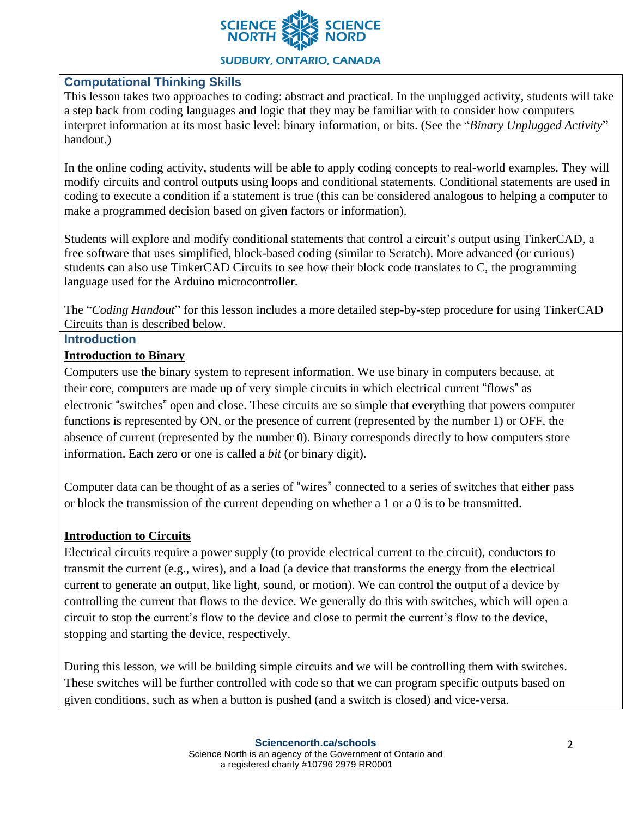

#### **SUDBURY, ONTARIO, CANADA**

### **Computational Thinking Skills**

This lesson takes two approaches to coding: abstract and practical. In the unplugged activity, students will take a step back from coding languages and logic that they may be familiar with to consider how computers interpret information at its most basic level: binary information, or bits. (See the "*Binary Unplugged Activity*" handout.)

In the online coding activity, students will be able to apply coding concepts to real-world examples. They will modify circuits and control outputs using loops and conditional statements. Conditional statements are used in coding to execute a condition if a statement is true (this can be considered analogous to helping a computer to make a programmed decision based on given factors or information).

Students will explore and modify conditional statements that control a circuit's output using TinkerCAD, a free software that uses simplified, block-based coding (similar to Scratch). More advanced (or curious) students can also use TinkerCAD Circuits to see how their block code translates to C, the programming language used for the Arduino microcontroller.

The "*Coding Handout*" for this lesson includes a more detailed step-by-step procedure for using TinkerCAD Circuits than is described below.

#### **Introduction**

#### **Introduction to Binary**

Computers use the binary system to represent information. We use binary in computers because, at their core, computers are made up of very simple circuits in which electrical current "flows" as electronic "switches" open and close. These circuits are so simple that everything that powers computer functions is represented by ON, or the presence of current (represented by the number 1) or OFF, the absence of current (represented by the number 0). Binary corresponds directly to how computers store information. Each zero or one is called a *bit* (or binary digit).

Computer data can be thought of as a series of "wires" connected to a series of switches that either pass or block the transmission of the current depending on whether a 1 or a 0 is to be transmitted.

#### **Introduction to Circuits**

Electrical circuits require a power supply (to provide electrical current to the circuit), conductors to transmit the current (e.g., wires), and a load (a device that transforms the energy from the electrical current to generate an output, like light, sound, or motion). We can control the output of a device by controlling the current that flows to the device. We generally do this with switches, which will open a circuit to stop the current's flow to the device and close to permit the current's flow to the device, stopping and starting the device, respectively.

During this lesson, we will be building simple circuits and we will be controlling them with switches. These switches will be further controlled with code so that we can program specific outputs based on given conditions, such as when a button is pushed (and a switch is closed) and vice-versa.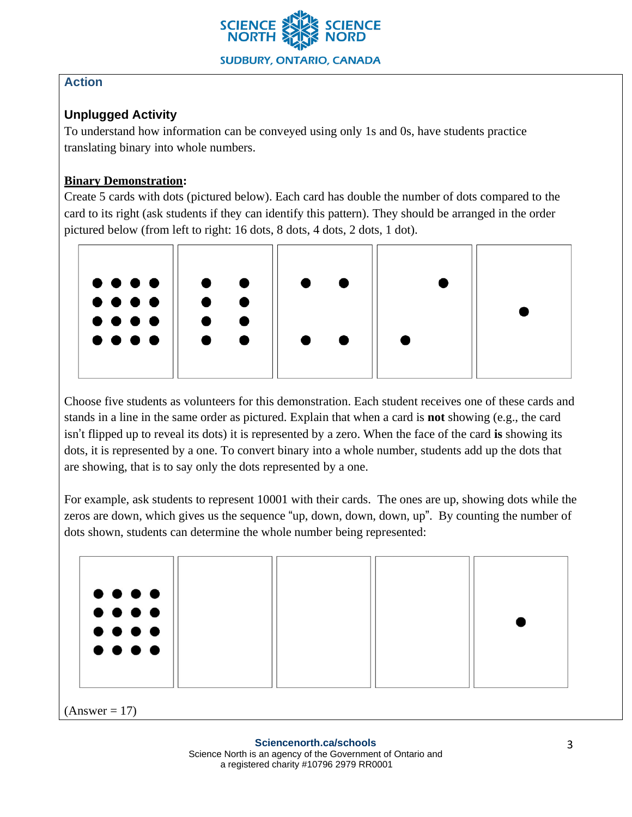

# **Action**

# **Unplugged Activity**

To understand how information can be conveyed using only 1s and 0s, have students practice translating binary into whole numbers.

## **Binary Demonstration:**

Create 5 cards with dots (pictured below). Each card has double the number of dots compared to the card to its right (ask students if they can identify this pattern). They should be arranged in the order pictured below (from left to right: 16 dots, 8 dots, 4 dots, 2 dots, 1 dot).



Choose five students as volunteers for this demonstration. Each student receives one of these cards and stands in a line in the same order as pictured. Explain that when a card is **not** showing (e.g., the card isn't flipped up to reveal its dots) it is represented by a zero. When the face of the card **is** showing its dots, it is represented by a one. To convert binary into a whole number, students add up the dots that are showing, that is to say only the dots represented by a one.

For example, ask students to represent 10001 with their cards. The ones are up, showing dots while the zeros are down, which gives us the sequence "up, down, down, down, up". By counting the number of dots shown, students can determine the whole number being represented:

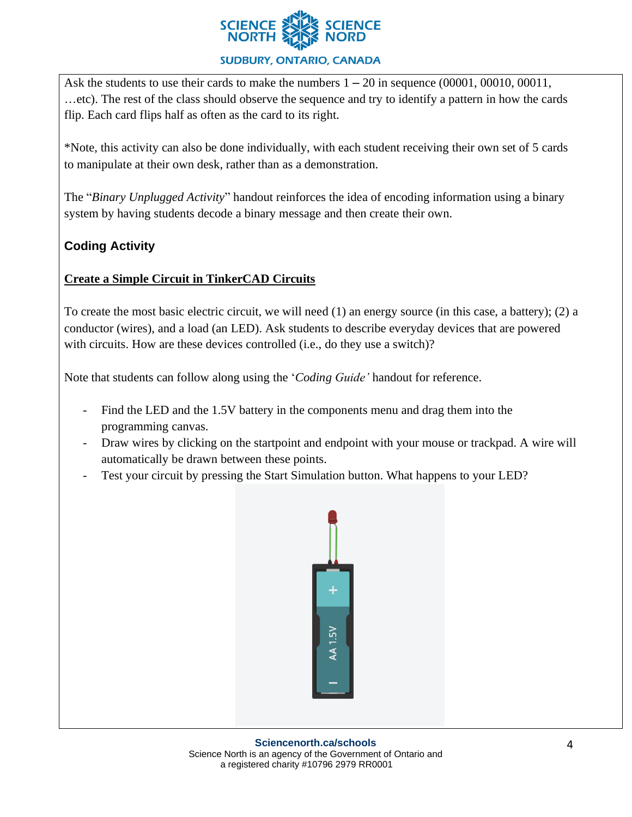

### **SUDBURY, ONTARIO, CANADA**

Ask the students to use their cards to make the numbers  $1 - 20$  in sequence (00001, 00010, 00011, …etc). The rest of the class should observe the sequence and try to identify a pattern in how the cards flip. Each card flips half as often as the card to its right.

\*Note, this activity can also be done individually, with each student receiving their own set of 5 cards to manipulate at their own desk, rather than as a demonstration.

The "*Binary Unplugged Activity*" handout reinforces the idea of encoding information using a binary system by having students decode a binary message and then create their own.

# **Coding Activity**

## **Create a Simple Circuit in TinkerCAD Circuits**

To create the most basic electric circuit, we will need (1) an energy source (in this case, a battery); (2) a conductor (wires), and a load (an LED). Ask students to describe everyday devices that are powered with circuits. How are these devices controlled (i.e., do they use a switch)?

Note that students can follow along using the '*Coding Guide'* handout for reference.

- Find the LED and the 1.5V battery in the components menu and drag them into the programming canvas.
- Draw wires by clicking on the startpoint and endpoint with your mouse or trackpad. A wire will automatically be drawn between these points.
- Test your circuit by pressing the Start Simulation button. What happens to your LED?

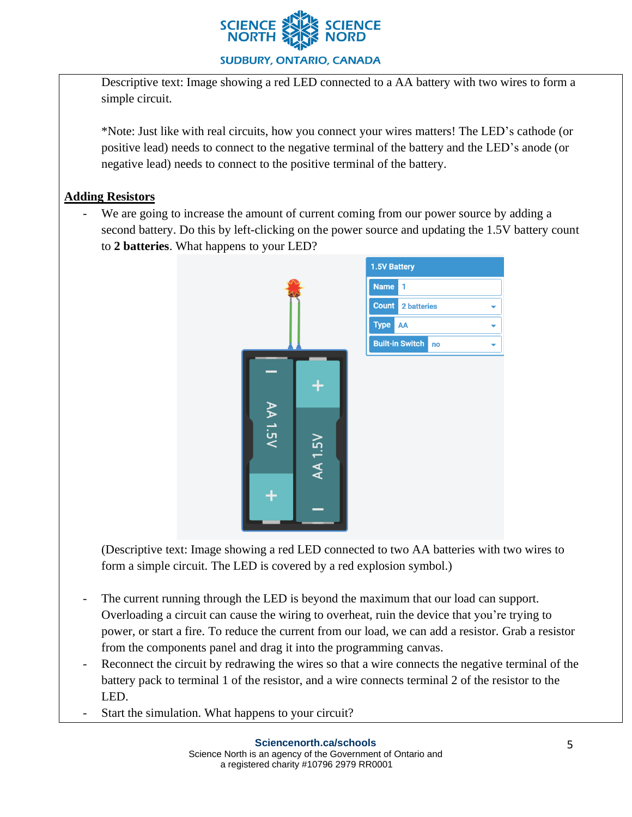

Descriptive text: Image showing a red LED connected to a AA battery with two wires to form a simple circuit.

\*Note: Just like with real circuits, how you connect your wires matters! The LED's cathode (or positive lead) needs to connect to the negative terminal of the battery and the LED's anode (or negative lead) needs to connect to the positive terminal of the battery.

### **Adding Resistors**

- We are going to increase the amount of current coming from our power source by adding a second battery. Do this by left-clicking on the power source and updating the 1.5V battery count to **2 batteries**. What happens to your LED?



(Descriptive text: Image showing a red LED connected to two AA batteries with two wires to form a simple circuit. The LED is covered by a red explosion symbol.)

- The current running through the LED is beyond the maximum that our load can support. Overloading a circuit can cause the wiring to overheat, ruin the device that you're trying to power, or start a fire. To reduce the current from our load, we can add a resistor. Grab a resistor from the components panel and drag it into the programming canvas.
- Reconnect the circuit by redrawing the wires so that a wire connects the negative terminal of the battery pack to terminal 1 of the resistor, and a wire connects terminal 2 of the resistor to the LED.
- Start the simulation. What happens to your circuit?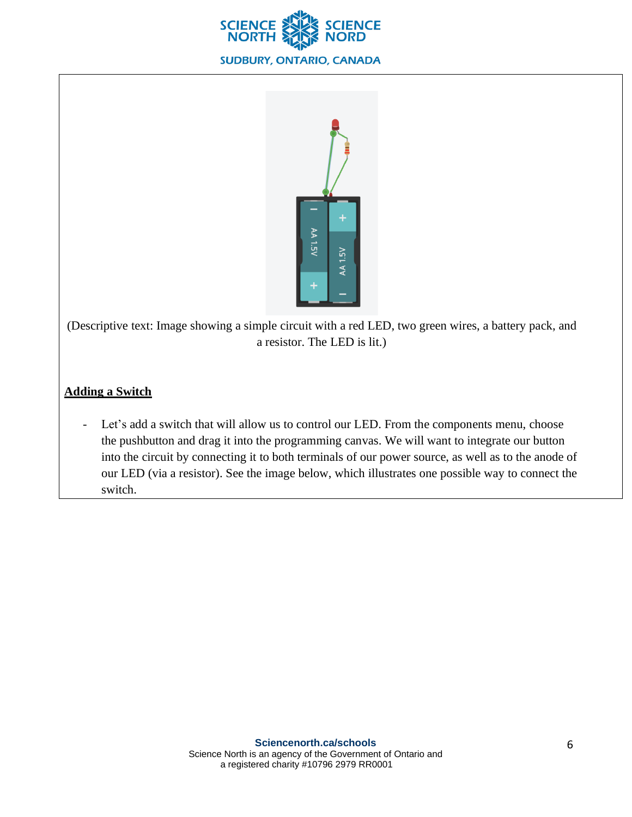



(Descriptive text: Image showing a simple circuit with a red LED, two green wires, a battery pack, and a resistor. The LED is lit.)

# **Adding a Switch**

- Let's add a switch that will allow us to control our LED. From the components menu, choose the pushbutton and drag it into the programming canvas. We will want to integrate our button into the circuit by connecting it to both terminals of our power source, as well as to the anode of our LED (via a resistor). See the image below, which illustrates one possible way to connect the switch.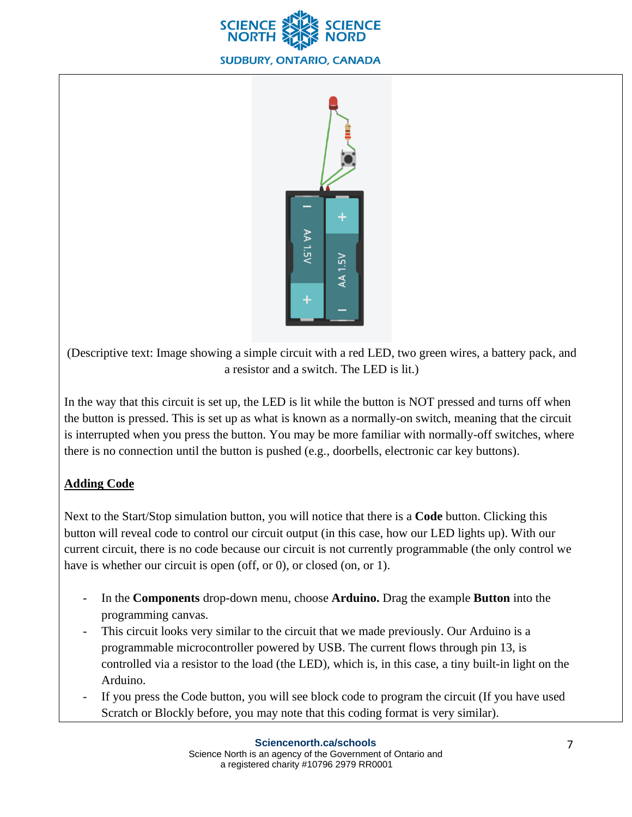



(Descriptive text: Image showing a simple circuit with a red LED, two green wires, a battery pack, and a resistor and a switch. The LED is lit.)

In the way that this circuit is set up, the LED is lit while the button is NOT pressed and turns off when the button is pressed. This is set up as what is known as a normally-on switch, meaning that the circuit is interrupted when you press the button. You may be more familiar with normally-off switches, where there is no connection until the button is pushed (e.g., doorbells, electronic car key buttons).

# **Adding Code**

Next to the Start/Stop simulation button, you will notice that there is a **Code** button. Clicking this button will reveal code to control our circuit output (in this case, how our LED lights up). With our current circuit, there is no code because our circuit is not currently programmable (the only control we have is whether our circuit is open (off, or 0), or closed (on, or 1).

- In the **Components** drop-down menu, choose **Arduino.** Drag the example **Button** into the programming canvas.
- This circuit looks very similar to the circuit that we made previously. Our Arduino is a programmable microcontroller powered by USB. The current flows through pin 13, is controlled via a resistor to the load (the LED), which is, in this case, a tiny built-in light on the Arduino.
- If you press the Code button, you will see block code to program the circuit (If you have used Scratch or Blockly before, you may note that this coding format is very similar).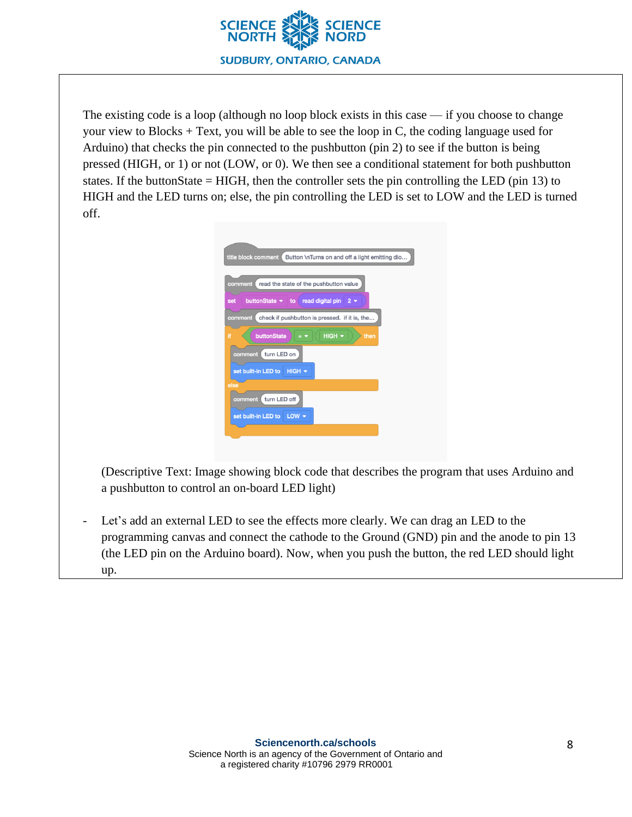

The existing code is a loop (although no loop block exists in this case  $\frac{d}{dx}$  if you choose to change your view to Blocks + Text, you will be able to see the loop in C, the coding language used for Arduino) that checks the pin connected to the pushbutton (pin 2) to see if the button is being pressed (HIGH, or 1) or not (LOW, or 0). We then see a conditional statement for both pushbutton states. If the buttonState = HIGH, then the controller sets the pin controlling the LED (pin 13) to HIGH and the LED turns on; else, the pin controlling the LED is set to LOW and the LED is turned off.

|      | Button \nTurns on and off a light emitting dio<br>title block comment |
|------|-----------------------------------------------------------------------|
|      | read the state of the pushbutton value<br>comment                     |
| set  | read digital pin<br>buttonState $\bullet$ to<br>$2 -$                 |
|      | check if pushbutton is pressed. if it is, the<br>comment              |
| Ħ    | HIGH -<br>buttonState<br>then                                         |
|      | turn LED on<br>comment                                                |
|      | set built-in LED to<br>$HIGH$ $\star$                                 |
| else |                                                                       |
|      | turn LED off<br>comment                                               |
|      | $LOW$ $\sim$<br>set built-in LED to                                   |

(Descriptive Text: Image showing block code that describes the program that uses Arduino and a pushbutton to control an on-board LED light)

Let's add an external LED to see the effects more clearly. We can drag an LED to the programming canvas and connect the cathode to the Ground (GND) pin and the anode to pin 13 (the LED pin on the Arduino board). Now, when you push the button, the red LED should light up.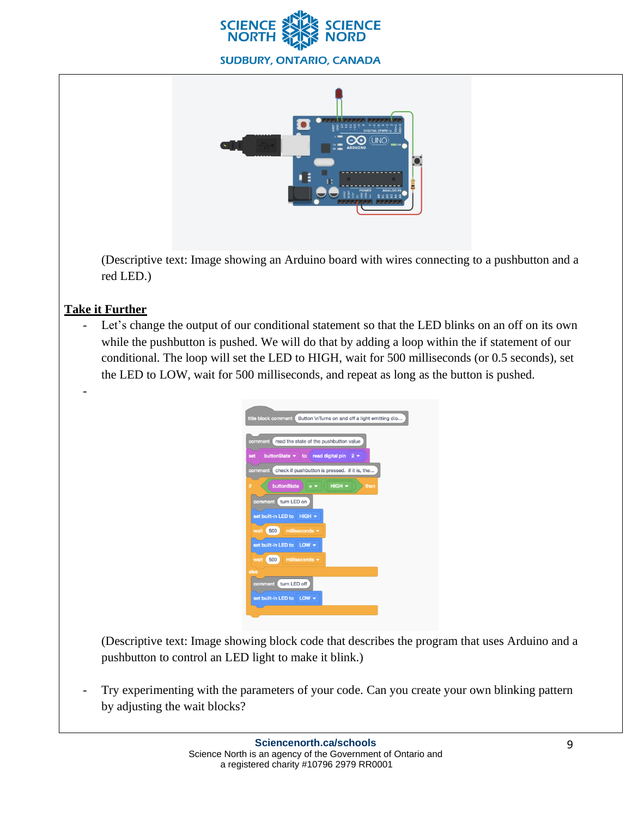



(Descriptive text: Image showing an Arduino board with wires connecting to a pushbutton and a red LED.)

# **Take it Further**

-

Let's change the output of our conditional statement so that the LED blinks on an off on its own while the pushbutton is pushed. We will do that by adding a loop within the if statement of our conditional. The loop will set the LED to HIGH, wait for 500 milliseconds (or 0.5 seconds), set the LED to LOW, wait for 500 milliseconds, and repeat as long as the button is pushed.

| title block comment<br>Button \nTurns on and off a light emitting dio |  |  |  |  |  |  |  |
|-----------------------------------------------------------------------|--|--|--|--|--|--|--|
| read the state of the pushbutton value<br>comment                     |  |  |  |  |  |  |  |
| read digital pin<br>buttonState $\bullet$ to<br>$2 -$<br>set          |  |  |  |  |  |  |  |
| check if pushbutton is pressed. if it is, the<br>comment              |  |  |  |  |  |  |  |
| HIGH<br>buttonState<br>Ħ<br>$=$ $\overline{ }$<br>then                |  |  |  |  |  |  |  |
| turn LED on<br>comment                                                |  |  |  |  |  |  |  |
| set built-in LED to HIGH +                                            |  |  |  |  |  |  |  |
| 500<br>milliseconds $\blacktriangleright$<br>wait                     |  |  |  |  |  |  |  |
| set built-in LED to LOW +                                             |  |  |  |  |  |  |  |
| 500<br>milliseconds $\blacktriangleright$<br>wait                     |  |  |  |  |  |  |  |
| else                                                                  |  |  |  |  |  |  |  |
| turn LED off<br>comment                                               |  |  |  |  |  |  |  |
| set built-in LED to LOW $\blacktriangledown$                          |  |  |  |  |  |  |  |
|                                                                       |  |  |  |  |  |  |  |

(Descriptive text: Image showing block code that describes the program that uses Arduino and a pushbutton to control an LED light to make it blink.)

Try experimenting with the parameters of your code. Can you create your own blinking pattern by adjusting the wait blocks?